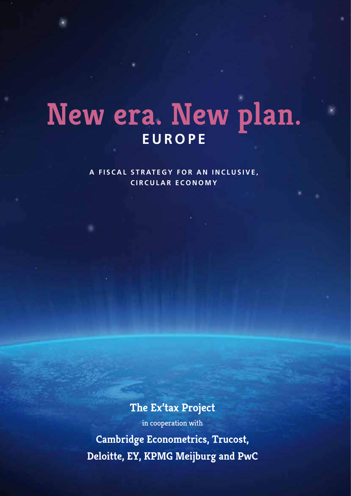# **New era. New plan. EUROPE**

**A FISCAL STRATEGY FOR AN INCLUSIVE, CIRCULAR ECONOMY**

**The Ex'tax Project**

in cooperation with

**Cambridge Econometrics, Trucost, Deloitte, EY, KPMG Meijburg and PwC**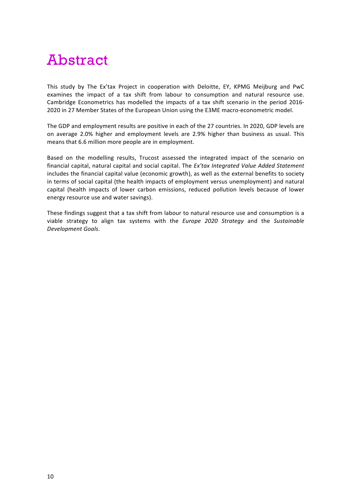# Abstract

This study by The Ex'tax Project in cooperation with Deloitte, EY, KPMG Meijburg and PwC examines the impact of a tax shift from labour to consumption and natural resource use. Cambridge Econometrics has modelled the impacts of a tax shift scenario in the period 2016-2020 in 27 Member States of the European Union using the E3ME macro-econometric model.

The GDP and employment results are positive in each of the 27 countries. In 2020, GDP levels are on average 2.0% higher and employment levels are 2.9% higher than business as usual. This means that 6.6 million more people are in employment.

Based on the modelling results, Trucost assessed the integrated impact of the scenario on financial capital, natural capital and social capital. The *Ex'tax Integrated Value Added Statement* includes the financial capital value (economic growth), as well as the external benefits to society in terms of social capital (the health impacts of employment versus unemployment) and natural capital (health impacts of lower carbon emissions, reduced pollution levels because of lower energy resource use and water savings).

These findings suggest that a tax shift from labour to natural resource use and consumption is a viable strategy to align tax systems with the *Europe* 2020 Strategy and the Sustainable *Development Goals*.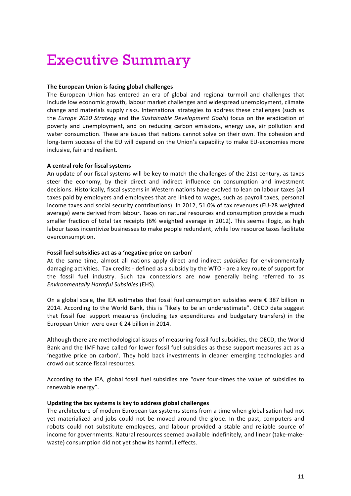# Executive Summary

# **The European Union is facing global challenges**

The European Union has entered an era of global and regional turmoil and challenges that include low economic growth, labour market challenges and widespread unemployment, climate change and materials supply risks. International strategies to address these challenges (such as the *Europe* 2020 Strategy and the *Sustainable Development Goals*) focus on the eradication of poverty and unemployment, and on reducing carbon emissions, energy use, air pollution and water consumption. These are issues that nations cannot solve on their own. The cohesion and long-term success of the EU will depend on the Union's capability to make EU-economies more inclusive, fair and resilient.

# **A central role for fiscal systems**

An update of our fiscal systems will be key to match the challenges of the 21st century, as taxes steer the economy, by their direct and indirect influence on consumption and investment decisions. Historically, fiscal systems in Western nations have evolved to lean on labour taxes (all taxes paid by employers and employees that are linked to wages, such as payroll taxes, personal income taxes and social security contributions). In 2012, 51.0% of tax revenues (EU-28 weighted average) were derived from labour. Taxes on natural resources and consumption provide a much smaller fraction of total tax receipts (6% weighted average in 2012). This seems illogic, as high labour taxes incentivize businesses to make people redundant, while low resource taxes facilitate overconsumption.

# Fossil fuel subsidies act as a 'negative price on carbon'

At the same time, almost all nations apply direct and indirect *subsidies* for environmentally damaging activities. Tax credits - defined as a subsidy by the WTO - are a key route of support for the fossil fuel industry. Such tax concessions are now generally being referred to as *Environmentally Harmful Subsidies* (EHS). 

On a global scale, the IEA estimates that fossil fuel consumption subsidies were  $\epsilon$  387 billion in 2014. According to the World Bank, this is "likely to be an underestimate". OECD data suggest that fossil fuel support measures (including tax expenditures and budgetary transfers) in the European Union were over  $\epsilon$  24 billion in 2014.

Although there are methodological issues of measuring fossil fuel subsidies, the OECD, the World Bank and the IMF have called for lower fossil fuel subsidies as these support measures act as a 'negative price on carbon'. They hold back investments in cleaner emerging technologies and crowd out scarce fiscal resources.

According to the IEA, global fossil fuel subsidies are "over four-times the value of subsidies to renewable energy".

# Updating the tax systems is key to address global challenges

The architecture of modern European tax systems stems from a time when globalisation had not yet materialized and jobs could not be moved around the globe. In the past, computers and robots could not substitute employees, and labour provided a stable and reliable source of income for governments. Natural resources seemed available indefinitely, and linear (take-makewaste) consumption did not yet show its harmful effects.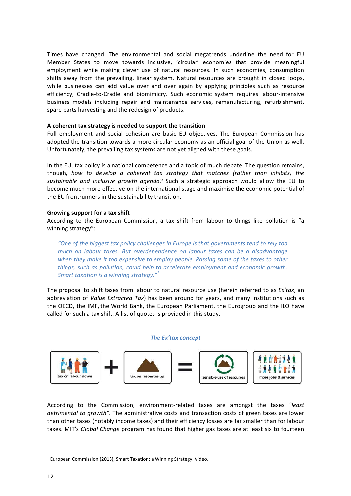Times have changed. The environmental and social megatrends underline the need for EU Member States to move towards inclusive, 'circular' economies that provide meaningful employment while making clever use of natural resources. In such economies, consumption shifts away from the prevailing, linear system. Natural resources are brought in closed loops, while businesses can add value over and over again by applying principles such as resource efficiency, Cradle-to-Cradle and biomimicry. Such economic system requires labour-intensive business models including repair and maintenance services, remanufacturing, refurbishment, spare parts harvesting and the redesign of products.

# A coherent tax strategy is needed to support the transition

Full employment and social cohesion are basic EU objectives. The European Commission has adopted the transition towards a more circular economy as an official goal of the Union as well. Unfortunately, the prevailing tax systems are not yet aligned with these goals.

In the EU, tax policy is a national competence and a topic of much debate. The question remains, though, how to develop a coherent tax strategy that matches (rather than inhibits) the sustainable and inclusive growth agenda? Such a strategic approach would allow the EU to become much more effective on the international stage and maximise the economic potential of the EU frontrunners in the sustainability transition.

## Growing support for a tax shift

According to the European Commission, a tax shift from labour to things like pollution is "a winning strategy":

"One of the biggest tax policy challenges in Europe is that governments tend to rely too *much* on *labour* taxes. But overdependence on labour taxes can be a disadvantage when they make it too expensive to employ people. Passing some of the taxes to other *things, such as pollution, could help to accelerate employment and economic growth. Smart taxation is a winning strategy.*"<sup>1</sup>

The proposal to shift taxes from labour to natural resource use (herein referred to as *Ex'tax*, an abbreviation of *Value Extracted Tax*) has been around for years, and many institutions such as the OECD, the IMF, the World Bank, the European Parliament, the Eurogroup and the ILO have called for such a tax shift. A list of quotes is provided in this study.

#### **The Ex'tax concept**



According to the Commission, environment-related taxes are amongst the taxes "least *detrimental to growth"*. The administrative costs and transaction costs of green taxes are lower than other taxes (notably income taxes) and their efficiency losses are far smaller than for labour taxes. MIT's *Global Change* program has found that higher gas taxes are at least six to fourteen

<u> 1989 - Johann Stein, marwolaethau a bh</u>

 $1$  European Commission (2015), Smart Taxation: a Winning Strategy. Video.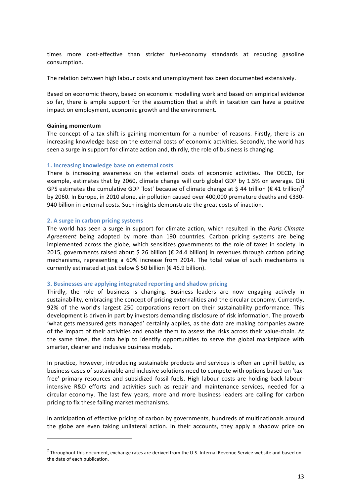times more cost-effective than stricter fuel-economy standards at reducing gasoline consumption.

The relation between high labour costs and unemployment has been documented extensively.

Based on economic theory, based on economic modelling work and based on empirical evidence so far, there is ample support for the assumption that a shift in taxation can have a positive impact on employment, economic growth and the environment.

## **Gaining momentum**

The concept of a tax shift is gaining momentum for a number of reasons. Firstly, there is an increasing knowledge base on the external costs of economic activities. Secondly, the world has seen a surge in support for climate action and, thirdly, the role of business is changing.

## 1. **Increasing knowledge base on external costs**

There is increasing awareness on the external costs of economic activities. The OECD, for example, estimates that by 2060, climate change will curb global GDP by 1.5% on average. Citi GPS estimates the cumulative GDP 'lost' because of climate change at \$ 44 trillion (€ 41 trillion)<sup>2</sup> by 2060. In Europe, in 2010 alone, air pollution caused over 400,000 premature deaths and €330-940 billion in external costs. Such insights demonstrate the great costs of inaction.

## **2. A surge in carbon pricing systems**

<u> 1989 - Johann Stein, marwolaethau a bh</u>

The world has seen a surge in support for climate action, which resulted in the Paris Climate Agreement being adopted by more than 190 countries. Carbon pricing systems are being implemented across the globe, which sensitizes governments to the role of taxes in society. In 2015, governments raised about \$ 26 billion ( $\epsilon$  24.4 billion) in revenues through carbon pricing mechanisms, representing a 60% increase from 2014. The total value of such mechanisms is currently estimated at just below \$ 50 billion ( $\epsilon$  46.9 billion).

#### **3.** Businesses are applying integrated reporting and shadow pricing

Thirdly, the role of business is changing. Business leaders are now engaging actively in sustainability, embracing the concept of pricing externalities and the circular economy. Currently, 92% of the world's largest 250 corporations report on their sustainability performance. This development is driven in part by investors demanding disclosure of risk information. The proverb 'what gets measured gets managed' certainly applies, as the data are making companies aware of the impact of their activities and enable them to assess the risks across their value-chain. At the same time, the data help to identify opportunities to serve the global marketplace with smarter, cleaner and inclusive business models.

In practice, however, introducing sustainable products and services is often an uphill battle, as business cases of sustainable and inclusive solutions need to compete with options based on 'taxfree' primary resources and subsidized fossil fuels. High labour costs are holding back labourintensive R&D efforts and activities such as repair and maintenance services, needed for a circular economy. The last few years, more and more business leaders are calling for carbon pricing to fix these failing market mechanisms.

In anticipation of effective pricing of carbon by governments, hundreds of multinationals around the globe are even taking unilateral action. In their accounts, they apply a shadow price on

 $2$  Throughout this document, exchange rates are derived from the U.S. Internal Revenue Service website and based on the date of each publication.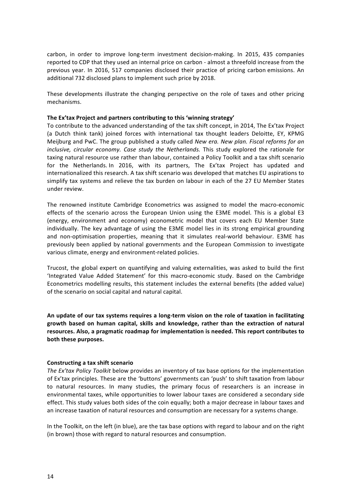carbon, in order to improve long-term investment decision-making. In 2015, 435 companies reported to CDP that they used an internal price on carbon - almost a threefold increase from the previous year. In 2016, 517 companies disclosed their practice of pricing carbon emissions. An additional 732 disclosed plans to implement such price by 2018.

These developments illustrate the changing perspective on the role of taxes and other pricing mechanisms.

# The Ex'tax Project and partners contributing to this 'winning strategy'

To contribute to the advanced understanding of the tax shift concept, in 2014, The Ex'tax Project (a Dutch think tank) joined forces with international tax thought leaders Deloitte, EY, KPMG Meijburg and PwC. The group published a study called *New era. New plan. Fiscal reforms for an inclusive, circular economy. Case study the Netherlands.* This study explored the rationale for taxing natural resource use rather than labour, contained a Policy Toolkit and a tax shift scenario for the Netherlands. In 2016, with its partners, The Ex'tax Project has updated and internationalized this research. A tax shift scenario was developed that matches EU aspirations to simplify tax systems and relieve the tax burden on labour in each of the 27 EU Member States under review.

The renowned institute Cambridge Econometrics was assigned to model the macro-economic effects of the scenario across the European Union using the E3ME model. This is a global E3 (energy, environment and economy) econometric model that covers each EU Member State individually. The key advantage of using the E3ME model lies in its strong empirical grounding and non-optimisation properties, meaning that it simulates real-world behaviour. E3ME has previously been applied by national governments and the European Commission to investigate various climate, energy and environment-related policies.

Trucost, the global expert on quantifying and valuing externalities, was asked to build the first 'Integrated Value Added Statement' for this macro-economic study. Based on the Cambridge Econometrics modelling results, this statement includes the external benefits (the added value) of the scenario on social capital and natural capital.

An update of our tax systems requires a long-term vision on the role of taxation in facilitating **growth based on human capital, skills and knowledge, rather than the extraction of natural**  resources. Also, a pragmatic roadmap for implementation is needed. This report contributes to **both these purposes.**

# **Constructing a tax shift scenario**

*The Ex'tax Policy Toolkit* below provides an inventory of tax base options for the implementation of Ex'tax principles. These are the 'buttons' governments can 'push' to shift taxation from labour to natural resources. In many studies, the primary focus of researchers is an increase in environmental taxes, while opportunities to lower labour taxes are considered a secondary side effect. This study values both sides of the coin equally; both a major decrease in labour taxes and an increase taxation of natural resources and consumption are necessary for a systems change.

In the Toolkit, on the left (in blue), are the tax base options with regard to labour and on the right (in brown) those with regard to natural resources and consumption.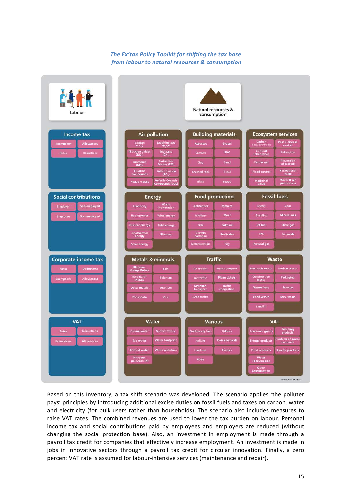# The Ex'tax Policy Toolkit for shifting the tax base *from labour to natural resources & consumption*



Based on this inventory, a tax shift scenario was developed. The scenario applies 'the polluter pays' principles by introducing additional excise duties on fossil fuels and taxes on carbon, water and electricity (for bulk users rather than households). The scenario also includes measures to raise VAT rates. The combined revenues are used to lower the tax burden on labour. Personal income tax and social contributions paid by employees and employers are reduced (without changing the social protection base). Also, an investment in employment is made through a payroll tax credit for companies that effectively increase employment. An investment is made in jobs in innovative sectors through a payroll tax credit for circular innovation. Finally, a zero percent VAT rate is assumed for labour-intensive services (maintenance and repair).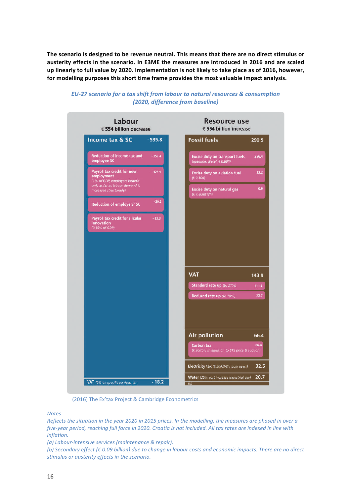The scenario is designed to be revenue neutral. This means that there are no direct stimulus or austerity effects in the scenario. In E3ME the measures are introduced in 2016 and are scaled up linearly to full value by 2020. Implementation is not likely to take place as of 2016, however, for modelling purposes this short time frame provides the most valuable impact analysis.



# *EU-27 scenario for a tax shift from labour to natural resources & consumption (2020, difference from baseline)*

(2016) The Ex'tax Project & Cambridge Econometrics

*Notes*

*Reflects the situation in the year 2020 in 2015 prices. In the modelling, the measures are phased in over a five-year period, reaching full force in 2020. Croatia is not included. All tax rates are indexed in line with inflation.*

*(a)* Labour-intensive services (maintenance & repair).

*(b)* Secondary effect (€ 0.09 billion) due to change in labour costs and economic impacts. There are no direct stimulus or austerity effects in the scenario.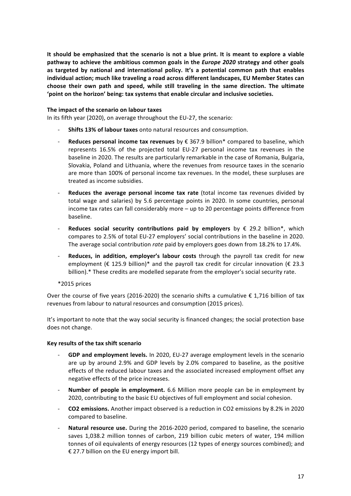It should be emphasized that the scenario is not a blue print. It is meant to explore a viable **pathway** to achieve the ambitious common goals in the *Europe 2020* strategy and other goals as targeted by national and international policy. It's a potential common path that enables individual action; much like traveling a road across different landscapes, EU Member States can choose their own path and speed, while still traveling in the same direction. The ultimate 'point on the horizon' being: tax systems that enable circular and inclusive societies.

# The impact of the scenario on labour taxes

In its fifth year (2020), on average throughout the EU-27, the scenario:

- **Shifts 13% of labour taxes** onto natural resources and consumption.
- **Reduces personal income tax revenues** by  $\epsilon$  367.9 billion\* compared to baseline, which represents 16.5% of the projected total EU-27 personal income tax revenues in the baseline in 2020. The results are particularly remarkable in the case of Romania, Bulgaria, Slovakia, Poland and Lithuania, where the revenues from resource taxes in the scenario are more than 100% of personal income tax revenues. In the model, these surpluses are treated as income subsidies.
- **Reduces the average personal income tax rate** (total income tax revenues divided by total wage and salaries) by 5.6 percentage points in 2020. In some countries, personal income tax rates can fall considerably more  $-$  up to 20 percentage points difference from baseline.
- Reduces social security contributions paid by employers by  $\epsilon$  29.2 billion\*, which compares to 2.5% of total EU-27 employers' social contributions in the baseline in 2020. The average social contribution *rate* paid by employers goes down from 18.2% to 17.4%.
- Reduces, in addition, employer's labour costs through the payroll tax credit for new employment ( $\epsilon$  125.9 billion)\* and the payroll tax credit for circular innovation ( $\epsilon$  23.3 billion).\* These credits are modelled separate from the employer's social security rate.

#### $*$ 2015 prices

Over the course of five years (2016-2020) the scenario shifts a cumulative  $\epsilon$  1.716 billion of tax revenues from labour to natural resources and consumption (2015 prices).

It's important to note that the way social security is financed changes; the social protection base does not change.

#### **Key results of the tax shift scenario**

- GDP and employment levels. In 2020, EU-27 average employment levels in the scenario are up by around 2.9% and GDP levels by 2.0% compared to baseline, as the positive effects of the reduced labour taxes and the associated increased employment offset any negative effects of the price increases.
- **Number of people in employment.** 6.6 Million more people can be in employment by 2020, contributing to the basic EU objectives of full employment and social cohesion.
- **CO2** emissions. Another impact observed is a reduction in CO2 emissions by 8.2% in 2020 compared to baseline.
- **Natural resource use.** During the 2016-2020 period, compared to baseline, the scenario saves 1,038.2 million tonnes of carbon, 219 billion cubic meters of water, 194 million tonnes of oil equivalents of energy resources (12 types of energy sources combined); and € 27.7 billion on the EU energy import bill.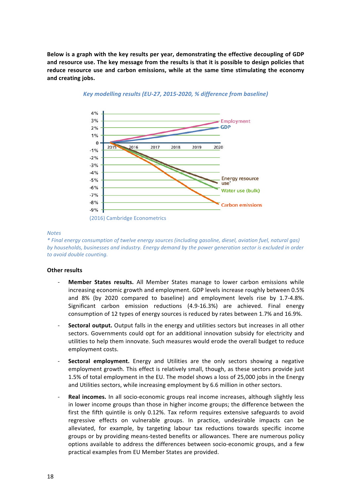Below is a graph with the key results per year, demonstrating the effective decoupling of GDP and resource use. The key message from the results is that it is possible to design policies that reduce resource use and carbon emissions, while at the same time stimulating the economy **and creating jobs.**



Key modelling results (EU-27, 2015-2020, % difference from baseline)

#### *Notes*

*\* Final energy consumption of twelve energy sources (including gasoline, diesel, aviation fuel, natural gas)*  by households, businesses and industry. Energy demand by the power generation sector is excluded in order *to avoid double counting.*

#### **Other results**

- **Member States results.** All Member States manage to lower carbon emissions while increasing economic growth and employment. GDP levels increase roughly between 0.5% and 8% (by 2020 compared to baseline) and employment levels rise by 1.7-4.8%. Significant carbon emission reductions (4.9-16.3%) are achieved. Final energy consumption of 12 types of energy sources is reduced by rates between 1.7% and 16.9%.
- **Sectoral output.** Output falls in the energy and utilities sectors but increases in all other sectors. Governments could opt for an additional innovation subsidy for electricity and utilities to help them innovate. Such measures would erode the overall budget to reduce employment costs.
- **Sectoral employment.** Energy and Utilities are the only sectors showing a negative employment growth. This effect is relatively small, though, as these sectors provide just 1.5% of total employment in the EU. The model shows a loss of 25,000 jobs in the Energy and Utilities sectors, while increasing employment by 6.6 million in other sectors.
- **Real incomes.** In all socio-economic groups real income increases, although slightly less in lower income groups than those in higher income groups; the difference between the first the fifth quintile is only 0.12%. Tax reform requires extensive safeguards to avoid regressive effects on vulnerable groups. In practice, undesirable impacts can be alleviated, for example, by targeting labour tax reductions towards specific income groups or by providing means-tested benefits or allowances. There are numerous policy options available to address the differences between socio-economic groups, and a few practical examples from EU Member States are provided.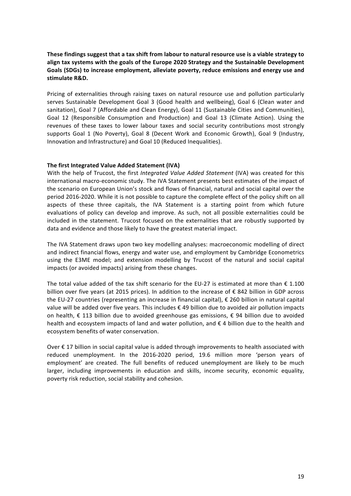These findings suggest that a tax shift from labour to natural resource use is a viable strategy to align tax systems with the goals of the Europe 2020 Strategy and the Sustainable Development Goals (SDGs) to increase employment, alleviate poverty, reduce emissions and energy use and stimulate R&D.

Pricing of externalities through raising taxes on natural resource use and pollution particularly serves Sustainable Development Goal 3 (Good health and wellbeing), Goal 6 (Clean water and sanitation), Goal 7 (Affordable and Clean Energy), Goal 11 (Sustainable Cities and Communities), Goal 12 (Responsible Consumption and Production) and Goal 13 (Climate Action). Using the revenues of these taxes to lower labour taxes and social security contributions most strongly supports Goal 1 (No Poverty), Goal 8 (Decent Work and Economic Growth), Goal 9 (Industry, Innovation and Infrastructure) and Goal 10 (Reduced Inequalities).

# **The first Integrated Value Added Statement (IVA)**

With the help of Trucost, the first *Integrated Value Added Statement* (IVA) was created for this international macro-economic study. The IVA Statement presents best estimates of the impact of the scenario on European Union's stock and flows of financial, natural and social capital over the period 2016-2020. While it is not possible to capture the complete effect of the policy shift on all aspects of these three capitals, the IVA Statement is a starting point from which future evaluations of policy can develop and improve. As such, not all possible externalities could be included in the statement. Trucost focused on the externalities that are robustly supported by data and evidence and those likely to have the greatest material impact.

The IVA Statement draws upon two key modelling analyses: macroeconomic modelling of direct and indirect financial flows, energy and water use, and employment by Cambridge Econometrics using the E3ME model; and extension modelling by Trucost of the natural and social capital impacts (or avoided impacts) arising from these changes.

The total value added of the tax shift scenario for the EU-27 is estimated at more than  $\epsilon$  1.100 billion over five years (at 2015 prices). In addition to the increase of  $\epsilon$  842 billion in GDP across the EU-27 countries (representing an increase in financial capital),  $\epsilon$  260 billion in natural capital value will be added over five years. This includes  $\epsilon$  49 billion due to avoided air pollution impacts on health,  $\epsilon$  113 billion due to avoided greenhouse gas emissions,  $\epsilon$  94 billion due to avoided health and ecosystem impacts of land and water pollution, and  $\epsilon$  4 billion due to the health and ecosystem benefits of water conservation.

Over  $€$  17 billion in social capital value is added through improvements to health associated with reduced unemployment. In the 2016-2020 period, 19.6 million more 'person years of employment' are created. The full benefits of reduced unemployment are likely to be much larger, including improvements in education and skills, income security, economic equality, poverty risk reduction, social stability and cohesion.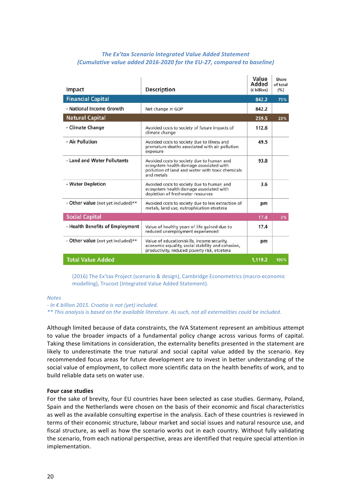# **The Ex'tax Scenario Integrated Value Added Statement** *(Cumulative value added 2016-2020 for the EU-27, compared to baseline)*

| Impact                             | <b>Description</b>                                                                                                                                     | Value<br>Added<br>$(E\text{ billion})$ | Share<br>of total<br>(% ) |
|------------------------------------|--------------------------------------------------------------------------------------------------------------------------------------------------------|----------------------------------------|---------------------------|
| <b>Financial Capital</b>           |                                                                                                                                                        | 842.2                                  | 75%                       |
| - National Income Growth           | Net change in GDP                                                                                                                                      | 842.2                                  |                           |
| <b>Natural Capital</b>             |                                                                                                                                                        | 259.5                                  | 23%                       |
| - Climate Change                   | Avoided costs to society of future impacts of<br>climate change                                                                                        | 112.6                                  |                           |
| - Air Pollution                    | Avoided costs to society due to illness and<br>premature deaths associated with air pollution<br>exposure                                              | 49.5                                   |                           |
| - Land and Water Pollutants        | Avoided costs to society due to human and<br>ecosystem health damage associated with<br>pollution of land and water with toxic chemicals<br>and metals | 93.8                                   |                           |
| - Water Depletion                  | Avoided costs to society due to human and<br>ecosystem health damage associated with<br>depletion of freshwater resources                              | 3.6                                    |                           |
| - Other value (not yet included)** | Avoided costs to society due to less extraction of<br>metals, land use, eutrophication etcetera                                                        | pm                                     |                           |
| <b>Social Capital</b>              |                                                                                                                                                        | 17.4                                   | 2%                        |
| - Health Benefits of Employment    | Value of healthy years of life gained due to<br>reduced unemployment experienced                                                                       | 17.4                                   |                           |
| - Other value (not yet included)** | Value of education/skills, income security,<br>economic equality, social stability and cohesion,<br>productivity, reduced poverty risk, etcetera       | pm                                     |                           |
| <b>Total Value Added</b>           |                                                                                                                                                        | 1,119.2                                | 100%                      |

(2016) The Ex'tax Project (scenario & design), Cambridge Econometrics (macro-economic modelling), Trucost (Integrated Value Added Statement).

#### *Notes*

*- In € billion 2015. Croatia is not (yet) included.*

\*\* This analysis is based on the available literature. As such, not all externalities could be included.

Although limited because of data constraints, the IVA Statement represent an ambitious attempt to value the broader impacts of a fundamental policy change across various forms of capital. Taking these limitations in consideration, the externality benefits presented in the statement are likely to underestimate the true natural and social capital value added by the scenario. Key recommended focus areas for future development are to invest in better understanding of the social value of employment, to collect more scientific data on the health benefits of work, and to build reliable data sets on water use.

## **Four case studies**

For the sake of brevity, four EU countries have been selected as case studies. Germany, Poland, Spain and the Netherlands were chosen on the basis of their economic and fiscal characteristics as well as the available consulting expertise in the analysis. Each of these countries is reviewed in terms of their economic structure, labour market and social issues and natural resource use, and fiscal structure, as well as how the scenario works out in each country. Without fully validating the scenario, from each national perspective, areas are identified that require special attention in implementation.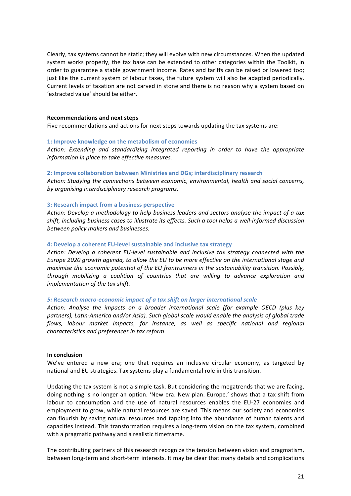Clearly, tax systems cannot be static; they will evolve with new circumstances. When the updated system works properly, the tax base can be extended to other categories within the Toolkit, in order to guarantee a stable government income. Rates and tariffs can be raised or lowered too; just like the current system of labour taxes, the future system will also be adapted periodically. Current levels of taxation are not carved in stone and there is no reason why a system based on 'extracted value' should be either.

#### **Recommendations and next steps**

Five recommendations and actions for next steps towards updating the tax systems are:

#### **1: Improve knowledge on the metabolism of economies**

Action: Extending and standardizing integrated reporting in order to have the appropriate information in place to take effective measures.

#### **2: Improve collaboration between Ministries and DGs; interdisciplinary research**

Action: Studying the connections between economic, environmental, health and social concerns, by organising interdisciplinary research programs.

#### **3: Research impact from a business perspective**

Action: Develop a methodology to help business leaders and sectors analyse the impact of a tax shift, including business cases to illustrate its effects. Such a tool helps a well-informed discussion *between policy makers and businesses.*

#### **4: Develop a coherent EU-level sustainable and inclusive tax strategy**

Action: Develop a coherent EU-level sustainable and inclusive tax strategy connected with the *Europe 2020 growth agenda, to allow the EU to be more effective on the international stage and maximise the economic potential of the EU frontrunners in the sustainability transition. Possibly,* through mobilizing a coalition of countries that are willing to advance exploration and *implementation of the tax shift.* 

#### *5: Research macro-economic impact of a tax shift on larger international scale*

Action: Analyse the *impacts* on a broader international scale (for example OECD (plus key partners), Latin-America and/or Asia). Such global scale would enable the analysis of global trade *flows,* labour market impacts, for instance, as well as specific national and regional *characteristics and preferences in tax reform.*

#### **In conclusion**

We've entered a new era; one that requires an inclusive circular economy, as targeted by national and EU strategies. Tax systems play a fundamental role in this transition.

Updating the tax system is not a simple task. But considering the megatrends that we are facing, doing nothing is no longer an option. 'New era. New plan. Europe.' shows that a tax shift from labour to consumption and the use of natural resources enables the EU-27 economies and employment to grow, while natural resources are saved. This means our society and economies can flourish by saving natural resources and tapping into the abundance of human talents and capacities instead. This transformation requires a long-term vision on the tax system, combined with a pragmatic pathway and a realistic timeframe.

The contributing partners of this research recognize the tension between vision and pragmatism, between long-term and short-term interests. It may be clear that many details and complications